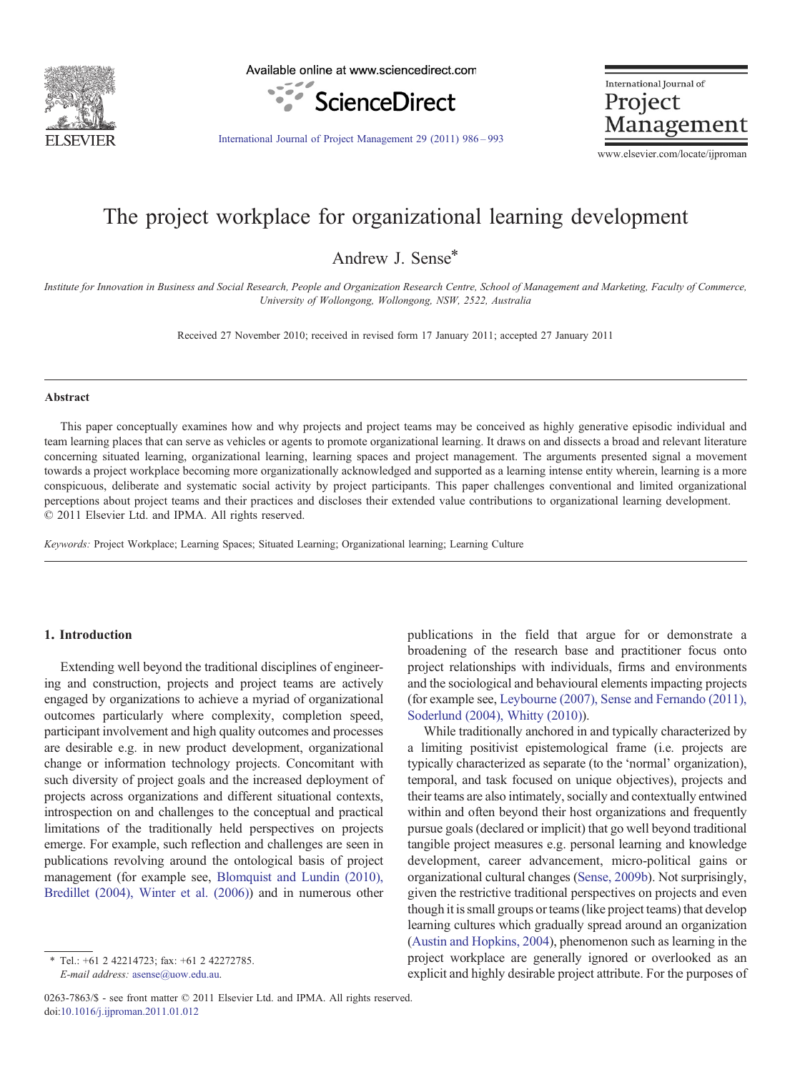

Available online at www.sciencedirect.com



International Journal of Project Management

[International Journal of Project Management 29 \(2011\) 986](http://dx.doi.org/10.1016/j.ijproman.2011.01.012)–993

www.elsevier.com/locate/ijproman

## The project workplace for organizational learning development

Andrew J. Sense\*

Institute for Innovation in Business and Social Research, People and Organization Research Centre, School of Management and Marketing, Faculty of Commerce, University of Wollongong, Wollongong, NSW, 2522, Australia

Received 27 November 2010; received in revised form 17 January 2011; accepted 27 January 2011

#### Abstract

This paper conceptually examines how and why projects and project teams may be conceived as highly generative episodic individual and team learning places that can serve as vehicles or agents to promote organizational learning. It draws on and dissects a broad and relevant literature concerning situated learning, organizational learning, learning spaces and project management. The arguments presented signal a movement towards a project workplace becoming more organizationally acknowledged and supported as a learning intense entity wherein, learning is a more conspicuous, deliberate and systematic social activity by project participants. This paper challenges conventional and limited organizational perceptions about project teams and their practices and discloses their extended value contributions to organizational learning development. © 2011 Elsevier Ltd. and IPMA. All rights reserved.

Keywords: Project Workplace; Learning Spaces; Situated Learning; Organizational learning; Learning Culture

#### 1. Introduction

Extending well beyond the traditional disciplines of engineering and construction, projects and project teams are actively engaged by organizations to achieve a myriad of organizational outcomes particularly where complexity, completion speed, participant involvement and high quality outcomes and processes are desirable e.g. in new product development, organizational change or information technology projects. Concomitant with such diversity of project goals and the increased deployment of projects across organizations and different situational contexts, introspection on and challenges to the conceptual and practical limitations of the traditionally held perspectives on projects emerge. For example, such reflection and challenges are seen in publications revolving around the ontological basis of project management (for example see, [Blomquist and Lundin \(2010\),](#page--1-0) [Bredillet \(2004\), Winter et al. \(2006\)](#page--1-0)) and in numerous other

publications in the field that argue for or demonstrate a broadening of the research base and practitioner focus onto project relationships with individuals, firms and environments and the sociological and behavioural elements impacting projects (for example see, [Leybourne \(2007\), Sense and Fernando \(2011\),](#page--1-0) [Soderlund \(2004\), Whitty \(2010\)\)](#page--1-0).

While traditionally anchored in and typically characterized by a limiting positivist epistemological frame (i.e. projects are typically characterized as separate (to the 'normal' organization), temporal, and task focused on unique objectives), projects and their teams are also intimately, socially and contextually entwined within and often beyond their host organizations and frequently pursue goals (declared or implicit) that go well beyond traditional tangible project measures e.g. personal learning and knowledge development, career advancement, micro-political gains or organizational cultural changes ([Sense, 2009b](#page--1-0)). Not surprisingly, given the restrictive traditional perspectives on projects and even though it is small groups or teams (like project teams) that develop learning cultures which gradually spread around an organization ([Austin and Hopkins, 2004\)](#page--1-0), phenomenon such as learning in the project workplace are generally ignored or overlooked as an explicit and highly desirable project attribute. For the purposes of

<sup>⁎</sup> Tel.: +61 2 42214723; fax: +61 2 42272785. E-mail address: [asense@uow.edu.au](mailto:asense@uow.edu.au).

<sup>0263-7863/\$ -</sup> see front matter © 2011 Elsevier Ltd. and IPMA. All rights reserved. doi:[10.1016/j.ijproman.2011.01.012](http://dx.doi.org/10.1016/j.ijproman.2011.01.012)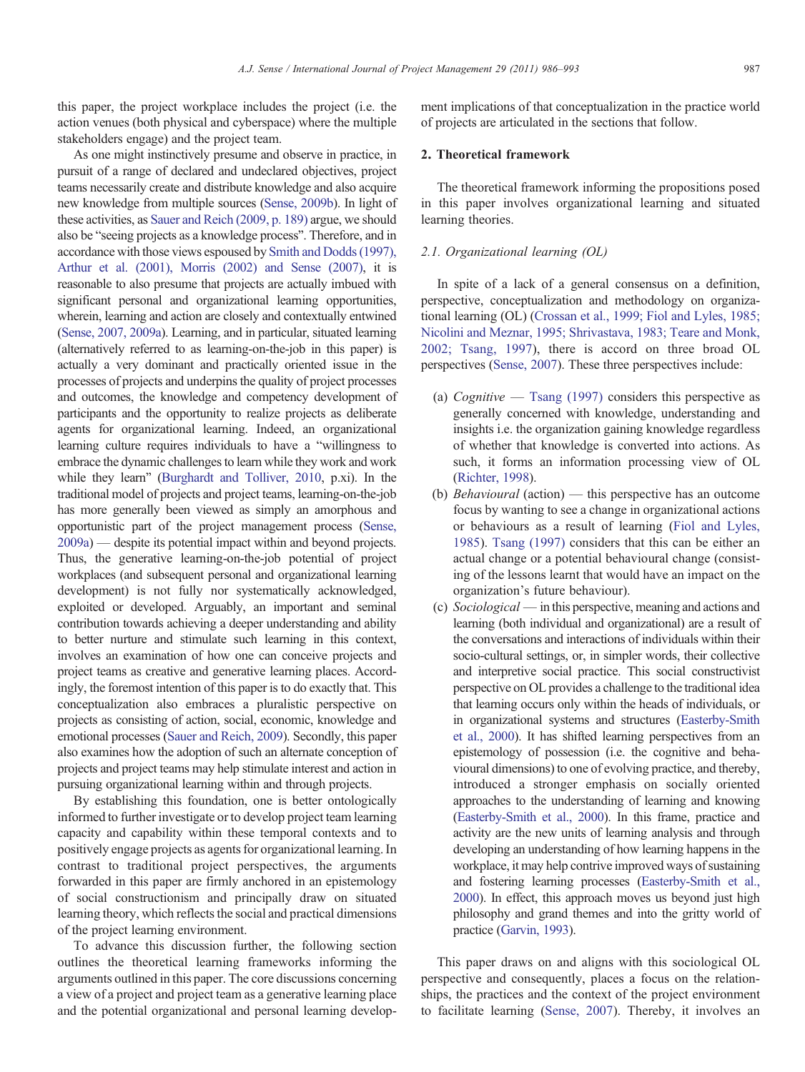this paper, the project workplace includes the project (i.e. the action venues (both physical and cyberspace) where the multiple stakeholders engage) and the project team.

As one might instinctively presume and observe in practice, in pursuit of a range of declared and undeclared objectives, project teams necessarily create and distribute knowledge and also acquire new knowledge from multiple sources [\(Sense, 2009b\)](#page--1-0). In light of these activities, as [Sauer and Reich \(2009, p. 189\)](#page--1-0) argue, we should also be "seeing projects as a knowledge process". Therefore, and in accordance with those views espoused by [Smith and Dodds \(1997\),](#page--1-0) [Arthur et al. \(2001\), Morris \(2002\) and Sense \(2007\)](#page--1-0), it is reasonable to also presume that projects are actually imbued with significant personal and organizational learning opportunities, wherein, learning and action are closely and contextually entwined ([Sense, 2007, 2009a](#page--1-0)). Learning, and in particular, situated learning (alternatively referred to as learning-on-the-job in this paper) is actually a very dominant and practically oriented issue in the processes of projects and underpins the quality of project processes and outcomes, the knowledge and competency development of participants and the opportunity to realize projects as deliberate agents for organizational learning. Indeed, an organizational learning culture requires individuals to have a "willingness to embrace the dynamic challenges to learn while they work and work while they learn" ([Burghardt and Tolliver, 2010,](#page--1-0) p.xi). In the traditional model of projects and project teams, learning-on-the-job has more generally been viewed as simply an amorphous and opportunistic part of the project management process [\(Sense,](#page--1-0) [2009a\)](#page--1-0) — despite its potential impact within and beyond projects. Thus, the generative learning-on-the-job potential of project workplaces (and subsequent personal and organizational learning development) is not fully nor systematically acknowledged, exploited or developed. Arguably, an important and seminal contribution towards achieving a deeper understanding and ability to better nurture and stimulate such learning in this context, involves an examination of how one can conceive projects and project teams as creative and generative learning places. Accordingly, the foremost intention of this paper is to do exactly that. This conceptualization also embraces a pluralistic perspective on projects as consisting of action, social, economic, knowledge and emotional processes [\(Sauer and Reich, 2009](#page--1-0)). Secondly, this paper also examines how the adoption of such an alternate conception of projects and project teams may help stimulate interest and action in pursuing organizational learning within and through projects.

By establishing this foundation, one is better ontologically informed to further investigate or to develop project team learning capacity and capability within these temporal contexts and to positively engage projects as agents for organizational learning. In contrast to traditional project perspectives, the arguments forwarded in this paper are firmly anchored in an epistemology of social constructionism and principally draw on situated learning theory, which reflects the social and practical dimensions of the project learning environment.

To advance this discussion further, the following section outlines the theoretical learning frameworks informing the arguments outlined in this paper. The core discussions concerning a view of a project and project team as a generative learning place and the potential organizational and personal learning development implications of that conceptualization in the practice world of projects are articulated in the sections that follow.

### 2. Theoretical framework

The theoretical framework informing the propositions posed in this paper involves organizational learning and situated learning theories.

#### 2.1. Organizational learning (OL)

In spite of a lack of a general consensus on a definition, perspective, conceptualization and methodology on organizational learning (OL) ([Crossan et al., 1999; Fiol and Lyles, 1985;](#page--1-0) [Nicolini and Meznar, 1995; Shrivastava, 1983; Teare and Monk,](#page--1-0) [2002; Tsang, 1997](#page--1-0)), there is accord on three broad OL perspectives [\(Sense, 2007](#page--1-0)). These three perspectives include:

- (a) Cognitive [Tsang \(1997\)](#page--1-0) considers this perspective as generally concerned with knowledge, understanding and insights i.e. the organization gaining knowledge regardless of whether that knowledge is converted into actions. As such, it forms an information processing view of OL ([Richter, 1998\)](#page--1-0).
- (b) Behavioural (action) this perspective has an outcome focus by wanting to see a change in organizational actions or behaviours as a result of learning [\(Fiol and Lyles,](#page--1-0) [1985](#page--1-0)). [Tsang \(1997\)](#page--1-0) considers that this can be either an actual change or a potential behavioural change (consisting of the lessons learnt that would have an impact on the organization's future behaviour).
- (c) Sociological in this perspective, meaning and actions and learning (both individual and organizational) are a result of the conversations and interactions of individuals within their socio-cultural settings, or, in simpler words, their collective and interpretive social practice. This social constructivist perspective on OL provides a challenge to the traditional idea that learning occurs only within the heads of individuals, or in organizational systems and structures ([Easterby-Smith](#page--1-0) [et al., 2000\)](#page--1-0). It has shifted learning perspectives from an epistemology of possession (i.e. the cognitive and behavioural dimensions) to one of evolving practice, and thereby, introduced a stronger emphasis on socially oriented approaches to the understanding of learning and knowing [\(Easterby-Smith et al., 2000\)](#page--1-0). In this frame, practice and activity are the new units of learning analysis and through developing an understanding of how learning happens in the workplace, it may help contrive improved ways of sustaining and fostering learning processes ([Easterby-Smith et al.,](#page--1-0) [2000\)](#page--1-0). In effect, this approach moves us beyond just high philosophy and grand themes and into the gritty world of practice ([Garvin, 1993](#page--1-0)).

This paper draws on and aligns with this sociological OL perspective and consequently, places a focus on the relationships, the practices and the context of the project environment to facilitate learning [\(Sense, 2007\)](#page--1-0). Thereby, it involves an